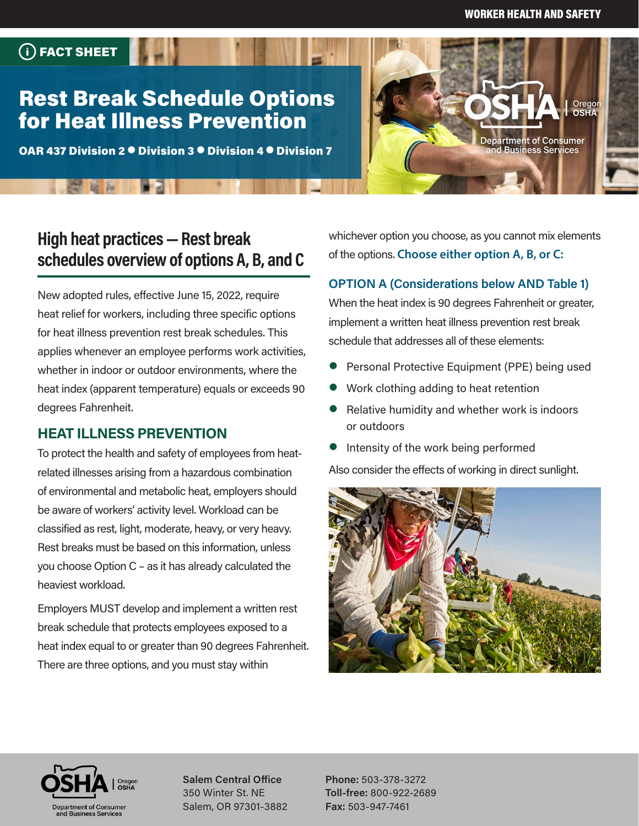**Department of Consumer** nd Business Services

Oregor

# Rest Break Schedule Options for Heat Illness Prevention

FACT SHEET

**PERSON** 

OAR 437 Division 2  $\bullet$  Division 3  $\bullet$  Division 4  $\bullet$  Division 7

# **High heat practices — Rest break schedules overview of options A, B, and C**

New adopted rules, effective June 15, 2022, require heat relief for workers, including three specific options for heat illness prevention rest break schedules. This applies whenever an employee performs work activities, whether in indoor or outdoor environments, where the heat index (apparent temperature) equals or exceeds 90 degrees Fahrenheit.

### **HEAT ILLNESS PREVENTION**

To protect the health and safety of employees from heatrelated illnesses arising from a hazardous combination of environmental and metabolic heat, employers should be aware of workers' activity level. Workload can be classified as rest, light, moderate, heavy, or very heavy. Rest breaks must be based on this information, unless you choose Option C – as it has already calculated the heaviest workload.

Employers MUST develop and implement a written rest break schedule that protects employees exposed to a heat index equal to or greater than 90 degrees Fahrenheit. There are three options, and you must stay within

whichever option you choose, as you cannot mix elements of the options. **Choose either option A, B, or C:** 

#### **OPTION A (Considerations below AND Table 1)**

When the heat index is 90 degrees Fahrenheit or greater, implement a written heat illness prevention rest break schedule that addresses all of these elements:

- Personal Protective Equipment (PPE) being used
- Work clothing adding to heat retention
- Relative humidity and whether work is indoors or outdoors
- Intensity of the work being performed

Also consider the effects of working in direct sunlight.





**Salem Central Office** 350 Winter St. NE Salem, OR 97301-3882

**Phone:** 503-378-3272 **Toll-free:** 800-922-2689 **Fax:** 503-947-7461